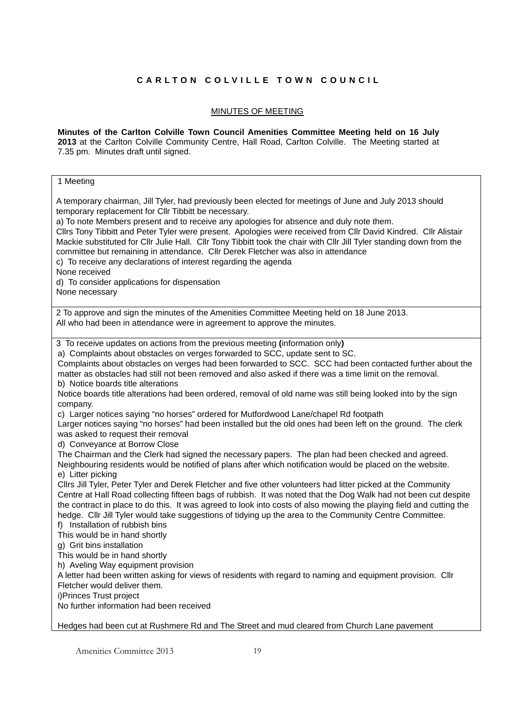## **CARLTON COLVILLE TOWN COUNCIL**

## MINUTES OF MEETING

**Minutes of the Carlton Colville Town Council Amenities Committee Meeting held on 16 July 2013** at the Carlton Colville Community Centre, Hall Road, Carlton Colville. The Meeting started at 7.35 pm. Minutes draft until signed.

## 1 Meeting

Amenities Committee 2013 19 A temporary chairman, Jill Tyler, had previously been elected for meetings of June and July 2013 should temporary replacement for Cllr Tibbitt be necessary. a) To note Members present and to receive any apologies for absence and duly note them. Cllrs Tony Tibbitt and Peter Tyler were present. Apologies were received from Cllr David Kindred. Cllr Alistair Mackie substituted for Cllr Julie Hall. Cllr Tony Tibbitt took the chair with Cllr Jill Tyler standing down from the committee but remaining in attendance. Cllr Derek Fletcher was also in attendance c) To receive any declarations of interest regarding the agenda None received d) To consider applications for dispensation None necessary 2 To approve and sign the minutes of the Amenities Committee Meeting held on 18 June 2013. All who had been in attendance were in agreement to approve the minutes. 3 To receive updates on actions from the previous meeting **(**information only**)**  a) Complaints about obstacles on verges forwarded to SCC, update sent to SC. Complaints about obstacles on verges had been forwarded to SCC. SCC had been contacted further about the matter as obstacles had still not been removed and also asked if there was a time limit on the removal. b) Notice boards title alterations Notice boards title alterations had been ordered, removal of old name was still being looked into by the sign company. c) Larger notices saying "no horses" ordered for Mutfordwood Lane/chapel Rd footpath Larger notices saying "no horses" had been installed but the old ones had been left on the ground. The clerk was asked to request their removal d) Conveyance at Borrow Close The Chairman and the Clerk had signed the necessary papers. The plan had been checked and agreed. Neighbouring residents would be notified of plans after which notification would be placed on the website. e) Litter picking Cllrs Jill Tyler, Peter Tyler and Derek Fletcher and five other volunteers had litter picked at the Community Centre at Hall Road collecting fifteen bags of rubbish. It was noted that the Dog Walk had not been cut despite the contract in place to do this. It was agreed to look into costs of also mowing the playing field and cutting the hedge. Cllr Jill Tyler would take suggestions of tidying up the area to the Community Centre Committee. f) Installation of rubbish bins This would be in hand shortly g) Grit bins installation This would be in hand shortly h) Aveling Way equipment provision A letter had been written asking for views of residents with regard to naming and equipment provision. Cllr Fletcher would deliver them. i)Princes Trust project No further information had been received Hedges had been cut at Rushmere Rd and The Street and mud cleared from Church Lane pavement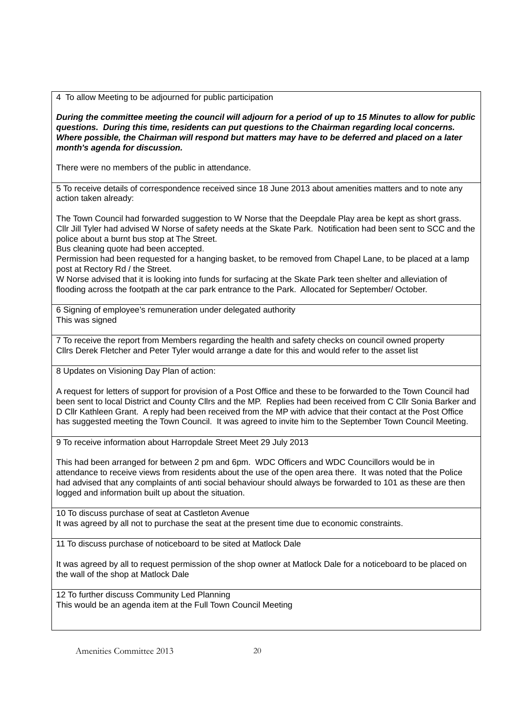4 To allow Meeting to be adjourned for public participation

*During the committee meeting the council will adjourn for a period of up to 15 Minutes to allow for public questions. During this time, residents can put questions to the Chairman regarding local concerns. Where possible, the Chairman will respond but matters may have to be deferred and placed on a later month's agenda for discussion.* 

There were no members of the public in attendance.

5 To receive details of correspondence received since 18 June 2013 about amenities matters and to note any action taken already:

The Town Council had forwarded suggestion to W Norse that the Deepdale Play area be kept as short grass. Cllr Jill Tyler had advised W Norse of safety needs at the Skate Park. Notification had been sent to SCC and the police about a burnt bus stop at The Street.

Bus cleaning quote had been accepted.

Permission had been requested for a hanging basket, to be removed from Chapel Lane, to be placed at a lamp post at Rectory Rd / the Street.

W Norse advised that it is looking into funds for surfacing at the Skate Park teen shelter and alleviation of flooding across the footpath at the car park entrance to the Park. Allocated for September/ October.

6 Signing of employee's remuneration under delegated authority This was signed

7 To receive the report from Members regarding the health and safety checks on council owned property Cllrs Derek Fletcher and Peter Tyler would arrange a date for this and would refer to the asset list

8 Updates on Visioning Day Plan of action:

A request for letters of support for provision of a Post Office and these to be forwarded to the Town Council had been sent to local District and County Cllrs and the MP. Replies had been received from C Cllr Sonia Barker and D Cllr Kathleen Grant. A reply had been received from the MP with advice that their contact at the Post Office has suggested meeting the Town Council. It was agreed to invite him to the September Town Council Meeting.

9 To receive information about Harropdale Street Meet 29 July 2013

This had been arranged for between 2 pm and 6pm. WDC Officers and WDC Councillors would be in attendance to receive views from residents about the use of the open area there. It was noted that the Police had advised that any complaints of anti social behaviour should always be forwarded to 101 as these are then logged and information built up about the situation.

10 To discuss purchase of seat at Castleton Avenue It was agreed by all not to purchase the seat at the present time due to economic constraints.

11 To discuss purchase of noticeboard to be sited at Matlock Dale

It was agreed by all to request permission of the shop owner at Matlock Dale for a noticeboard to be placed on the wall of the shop at Matlock Dale

12 To further discuss Community Led Planning This would be an agenda item at the Full Town Council Meeting

Amenities Committee 2013 20